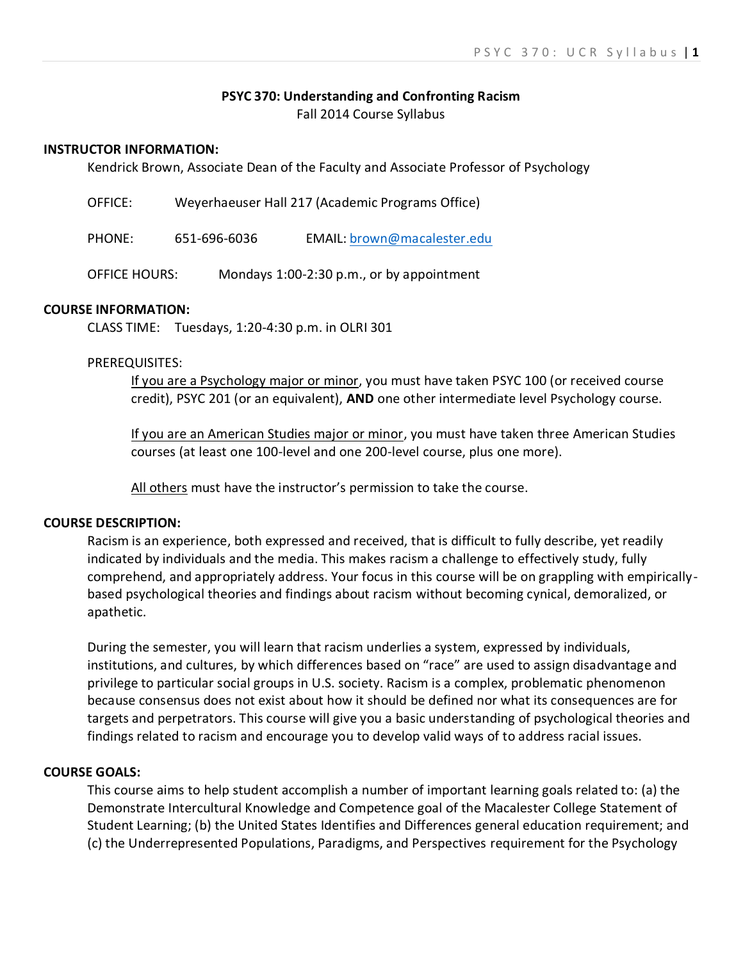### **PSYC 370: Understanding and Confronting Racism**

Fall 2014 Course Syllabus

### **INSTRUCTOR INFORMATION:**

Kendrick Brown, Associate Dean of the Faculty and Associate Professor of Psychology

| OFFICE:              | Weyerhaeuser Hall 217 (Academic Programs Office) |  |                                           |  |
|----------------------|--------------------------------------------------|--|-------------------------------------------|--|
| PHONE:               | 651-696-6036                                     |  | EMAIL: brown@macalester.edu               |  |
| <b>OFFICE HOURS:</b> |                                                  |  | Mondays 1:00-2:30 p.m., or by appointment |  |

#### **COURSE INFORMATION:**

CLASS TIME: Tuesdays, 1:20-4:30 p.m. in OLRI 301

### PREREQUISITES:

If you are a Psychology major or minor, you must have taken PSYC 100 (or received course credit), PSYC 201 (or an equivalent), **AND** one other intermediate level Psychology course.

If you are an American Studies major or minor, you must have taken three American Studies courses (at least one 100-level and one 200-level course, plus one more).

All others must have the instructor's permission to take the course.

#### **COURSE DESCRIPTION:**

Racism is an experience, both expressed and received, that is difficult to fully describe, yet readily indicated by individuals and the media. This makes racism a challenge to effectively study, fully comprehend, and appropriately address. Your focus in this course will be on grappling with empiricallybased psychological theories and findings about racism without becoming cynical, demoralized, or apathetic.

During the semester, you will learn that racism underlies a system, expressed by individuals, institutions, and cultures, by which differences based on "race" are used to assign disadvantage and privilege to particular social groups in U.S. society. Racism is a complex, problematic phenomenon because consensus does not exist about how it should be defined nor what its consequences are for targets and perpetrators. This course will give you a basic understanding of psychological theories and findings related to racism and encourage you to develop valid ways of to address racial issues.

#### **COURSE GOALS:**

This course aims to help student accomplish a number of important learning goals related to: (a) the Demonstrate Intercultural Knowledge and Competence goal of the Macalester College Statement of Student Learning; (b) the United States Identifies and Differences general education requirement; and (c) the Underrepresented Populations, Paradigms, and Perspectives requirement for the Psychology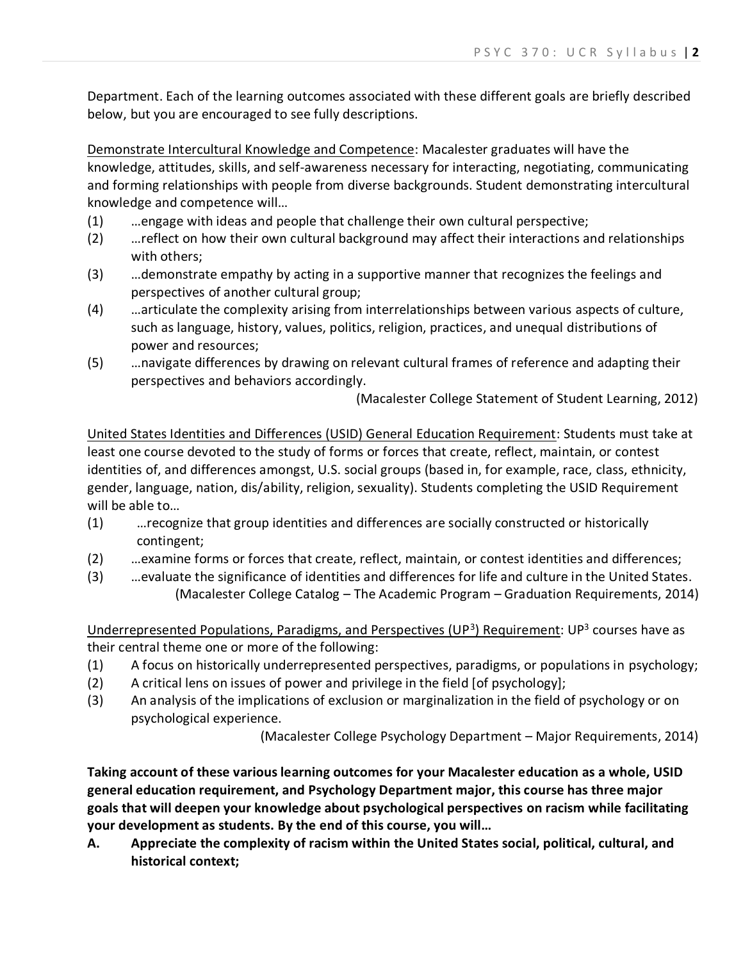Department. Each of the learning outcomes associated with these different goals are briefly described below, but you are encouraged to see fully descriptions.

Demonstrate Intercultural Knowledge and Competence: Macalester graduates will have the knowledge, attitudes, skills, and self-awareness necessary for interacting, negotiating, communicating and forming relationships with people from diverse backgrounds. Student demonstrating intercultural knowledge and competence will…

- (1) …engage with ideas and people that challenge their own cultural perspective;
- (2) …reflect on how their own cultural background may affect their interactions and relationships with others;
- (3) …demonstrate empathy by acting in a supportive manner that recognizes the feelings and perspectives of another cultural group;
- (4) …articulate the complexity arising from interrelationships between various aspects of culture, such as language, history, values, politics, religion, practices, and unequal distributions of power and resources;
- (5) …navigate differences by drawing on relevant cultural frames of reference and adapting their perspectives and behaviors accordingly.

(Macalester College Statement of Student Learning, 2012)

United States Identities and Differences (USID) General Education Requirement: Students must take at least one course devoted to the study of forms or forces that create, reflect, maintain, or contest identities of, and differences amongst, U.S. social groups (based in, for example, race, class, ethnicity, gender, language, nation, dis/ability, religion, sexuality). Students completing the USID Requirement will be able to…

- (1) …recognize that group identities and differences are socially constructed or historically contingent;
- (2) …examine forms or forces that create, reflect, maintain, or contest identities and differences;
- (3) …evaluate the significance of identities and differences for life and culture in the United States. (Macalester College Catalog – The Academic Program – Graduation Requirements, 2014)

Underrepresented Populations, Paradigms, and Perspectives (UP<sup>3</sup>) Requirement: UP<sup>3</sup> courses have as their central theme one or more of the following:

- (1) A focus on historically underrepresented perspectives, paradigms, or populations in psychology;
- (2) A critical lens on issues of power and privilege in the field [of psychology];
- (3) An analysis of the implications of exclusion or marginalization in the field of psychology or on psychological experience.

(Macalester College Psychology Department – Major Requirements, 2014)

**Taking account of these various learning outcomes for your Macalester education as a whole, USID general education requirement, and Psychology Department major, this course has three major goals that will deepen your knowledge about psychological perspectives on racism while facilitating your development as students. By the end of this course, you will…**

**A. Appreciate the complexity of racism within the United States social, political, cultural, and historical context;**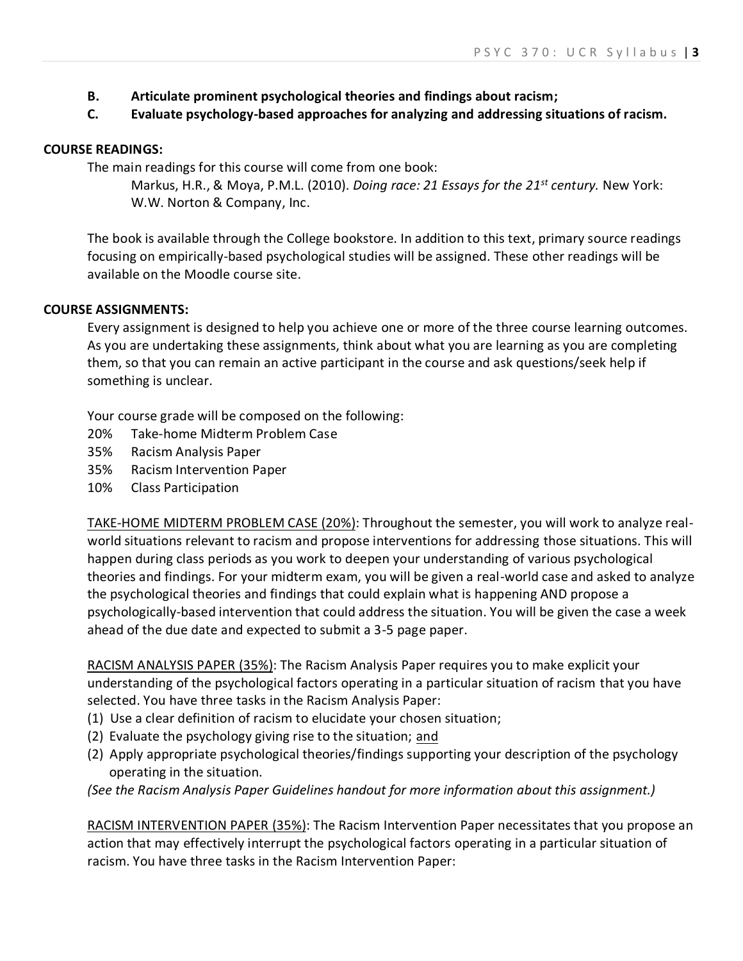- **B. Articulate prominent psychological theories and findings about racism;**
- **C. Evaluate psychology-based approaches for analyzing and addressing situations of racism.**

### **COURSE READINGS:**

The main readings for this course will come from one book:

Markus, H.R., & Moya, P.M.L. (2010). *Doing race: 21 Essays for the 21st century.* New York: W.W. Norton & Company, Inc.

The book is available through the College bookstore. In addition to this text, primary source readings focusing on empirically-based psychological studies will be assigned. These other readings will be available on the Moodle course site.

### **COURSE ASSIGNMENTS:**

Every assignment is designed to help you achieve one or more of the three course learning outcomes. As you are undertaking these assignments, think about what you are learning as you are completing them, so that you can remain an active participant in the course and ask questions/seek help if something is unclear.

Your course grade will be composed on the following:

- 20% Take-home Midterm Problem Case
- 35% Racism Analysis Paper
- 35% Racism Intervention Paper
- 10% Class Participation

TAKE-HOME MIDTERM PROBLEM CASE (20%): Throughout the semester, you will work to analyze realworld situations relevant to racism and propose interventions for addressing those situations. This will happen during class periods as you work to deepen your understanding of various psychological theories and findings. For your midterm exam, you will be given a real-world case and asked to analyze the psychological theories and findings that could explain what is happening AND propose a psychologically-based intervention that could address the situation. You will be given the case a week ahead of the due date and expected to submit a 3-5 page paper.

RACISM ANALYSIS PAPER (35%): The Racism Analysis Paper requires you to make explicit your understanding of the psychological factors operating in a particular situation of racism that you have selected. You have three tasks in the Racism Analysis Paper:

- (1) Use a clear definition of racism to elucidate your chosen situation;
- (2) Evaluate the psychology giving rise to the situation; and
- (2) Apply appropriate psychological theories/findings supporting your description of the psychology operating in the situation.

*(See the Racism Analysis Paper Guidelines handout for more information about this assignment.)*

RACISM INTERVENTION PAPER (35%): The Racism Intervention Paper necessitates that you propose an action that may effectively interrupt the psychological factors operating in a particular situation of racism. You have three tasks in the Racism Intervention Paper: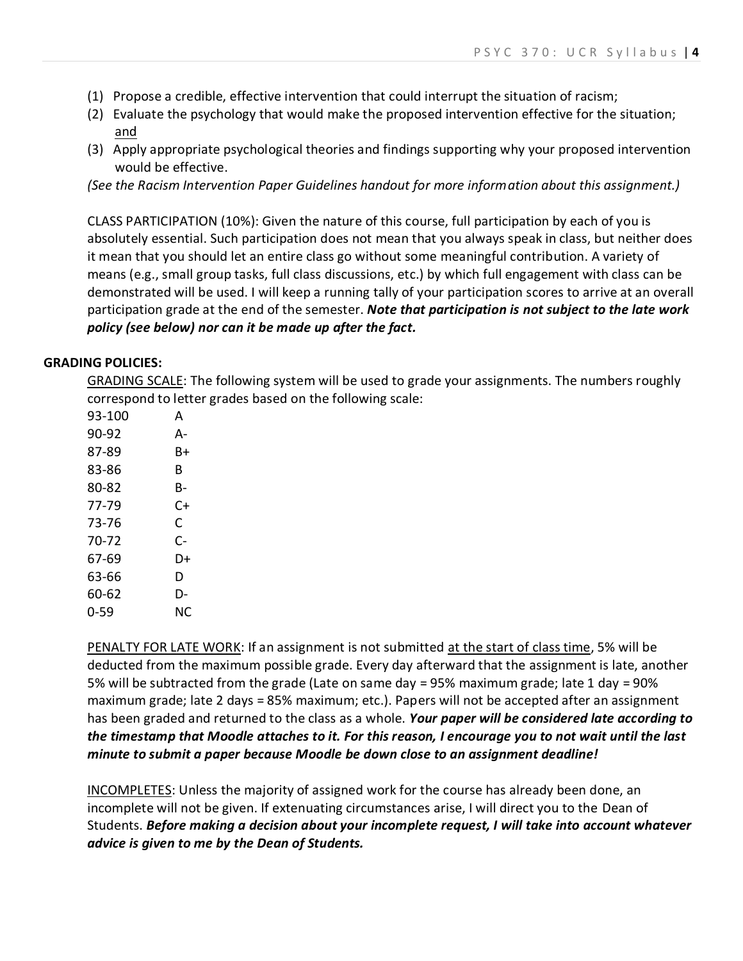- (1) Propose a credible, effective intervention that could interrupt the situation of racism;
- (2) Evaluate the psychology that would make the proposed intervention effective for the situation; and
- (3) Apply appropriate psychological theories and findings supporting why your proposed intervention would be effective.

*(See the Racism Intervention Paper Guidelines handout for more information about this assignment.)*

CLASS PARTICIPATION (10%): Given the nature of this course, full participation by each of you is absolutely essential. Such participation does not mean that you always speak in class, but neither does it mean that you should let an entire class go without some meaningful contribution. A variety of means (e.g., small group tasks, full class discussions, etc.) by which full engagement with class can be demonstrated will be used. I will keep a running tally of your participation scores to arrive at an overall participation grade at the end of the semester. *Note that participation is not subject to the late work policy (see below) nor can it be made up after the fact.*

### **GRADING POLICIES:**

GRADING SCALE: The following system will be used to grade your assignments. The numbers roughly correspond to letter grades based on the following scale:

| 93-100 | A  |
|--------|----|
| 90-92  | А- |
| 87-89  | B+ |
| 83-86  | R  |
| 80-82  | B- |
| 77-79  | C+ |
| 73-76  | С  |
| 70-72  | C- |
| 67-69  | D+ |
| 63-66  | D  |
| 60-62  | D- |
| 0-59   | NC |

PENALTY FOR LATE WORK: If an assignment is not submitted at the start of class time, 5% will be deducted from the maximum possible grade. Every day afterward that the assignment is late, another 5% will be subtracted from the grade (Late on same day = 95% maximum grade; late 1 day = 90% maximum grade; late 2 days = 85% maximum; etc.). Papers will not be accepted after an assignment has been graded and returned to the class as a whole. *Your paper will be considered late according to the timestamp that Moodle attaches to it. For this reason, I encourage you to not wait until the last minute to submit a paper because Moodle be down close to an assignment deadline!*

INCOMPLETES: Unless the majority of assigned work for the course has already been done, an incomplete will not be given. If extenuating circumstances arise, I will direct you to the Dean of Students. *Before making a decision about your incomplete request, I will take into account whatever advice is given to me by the Dean of Students.*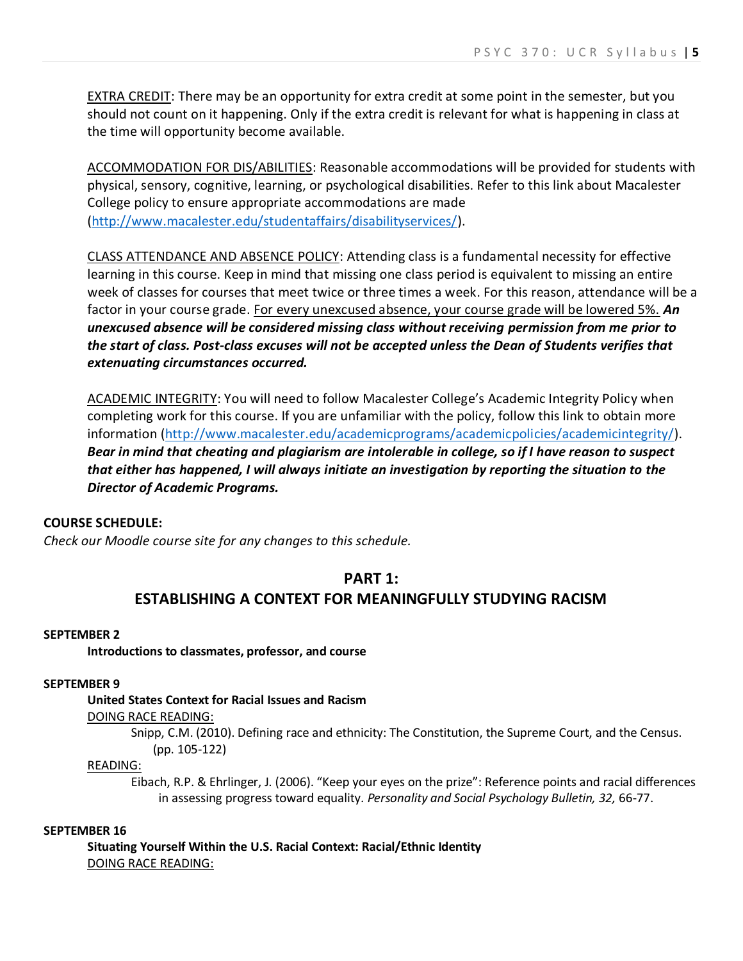EXTRA CREDIT: There may be an opportunity for extra credit at some point in the semester, but you should not count on it happening. Only if the extra credit is relevant for what is happening in class at the time will opportunity become available.

ACCOMMODATION FOR DIS/ABILITIES: Reasonable accommodations will be provided for students with physical, sensory, cognitive, learning, or psychological disabilities. Refer to this link about Macalester College policy to ensure appropriate accommodations are made [\(http://www.macalester.edu/studentaffairs/disabilityservices/\)](http://www.macalester.edu/studentaffairs/disabilityservices/).

CLASS ATTENDANCE AND ABSENCE POLICY: Attending class is a fundamental necessity for effective learning in this course. Keep in mind that missing one class period is equivalent to missing an entire week of classes for courses that meet twice or three times a week. For this reason, attendance will be a factor in your course grade. For every unexcused absence, your course grade will be lowered 5%. *An unexcused absence will be considered missing class without receiving permission from me prior to the start of class. Post-class excuses will not be accepted unless the Dean of Students verifies that extenuating circumstances occurred.*

ACADEMIC INTEGRITY: You will need to follow Macalester College's Academic Integrity Policy when completing work for this course. If you are unfamiliar with the policy, follow this link to obtain more information [\(http://www.macalester.edu/academicprograms/academicpolicies/academicintegrity/\)](http://www.macalester.edu/academicprograms/academicpolicies/academicintegrity/). *Bear in mind that cheating and plagiarism are intolerable in college, so if I have reason to suspect that either has happened, I will always initiate an investigation by reporting the situation to the Director of Academic Programs.*

### **COURSE SCHEDULE:**

*Check our Moodle course site for any changes to this schedule.*

### **PART 1:**

# **ESTABLISHING A CONTEXT FOR MEANINGFULLY STUDYING RACISM**

### **SEPTEMBER 2**

**Introductions to classmates, professor, and course**

### **SEPTEMBER 9**

## **United States Context for Racial Issues and Racism**

DOING RACE READING:

Snipp, C.M. (2010). Defining race and ethnicity: The Constitution, the Supreme Court, and the Census. (pp. 105-122)

### READING:

Eibach, R.P. & Ehrlinger, J. (2006). "Keep your eyes on the prize": Reference points and racial differences in assessing progress toward equality. *Personality and Social Psychology Bulletin, 32,* 66-77.

#### **SEPTEMBER 16**

**Situating Yourself Within the U.S. Racial Context: Racial/Ethnic Identity** DOING RACE READING: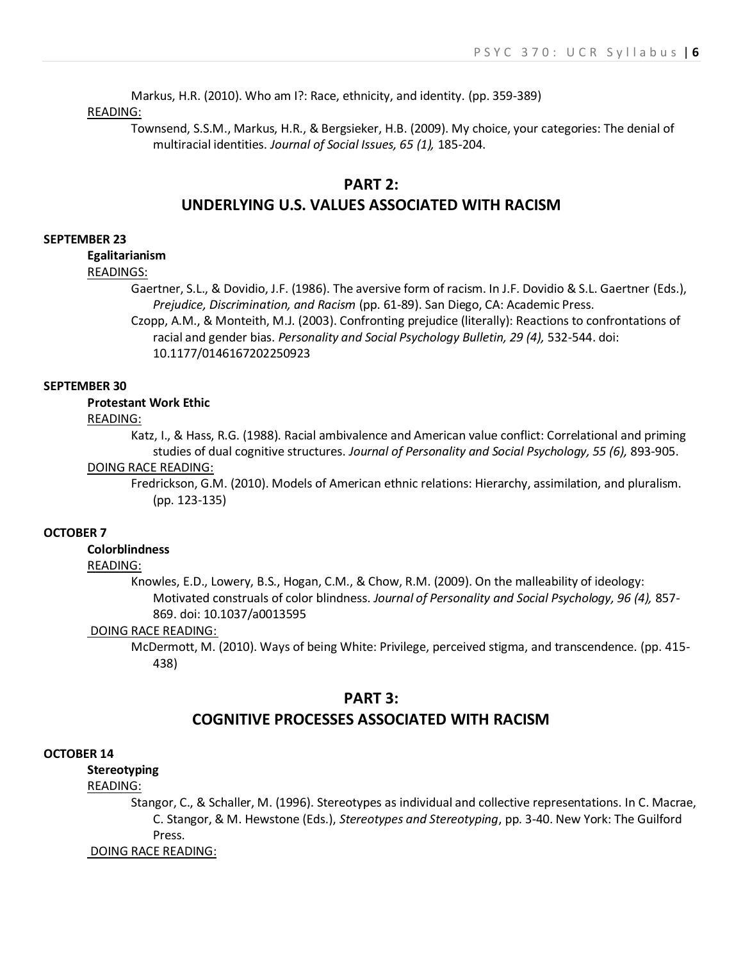Markus, H.R. (2010). Who am I?: Race, ethnicity, and identity. (pp. 359-389)

#### READING:

Townsend, S.S.M., Markus, H.R., & Bergsieker, H.B. (2009). My choice, your categories: The denial of multiracial identities. *Journal of Social Issues, 65 (1),* 185-204.

## **PART 2: UNDERLYING U.S. VALUES ASSOCIATED WITH RACISM**

#### **SEPTEMBER 23**

**Egalitarianism**

### READINGS:

Gaertner, S.L., & Dovidio, J.F. (1986). The aversive form of racism. In J.F. Dovidio & S.L. Gaertner (Eds.), *Prejudice, Discrimination, and Racism* (pp. 61-89). San Diego, CA: Academic Press.

Czopp, A.M., & Monteith, M.J. (2003). Confronting prejudice (literally): Reactions to confrontations of racial and gender bias. *Personality and Social Psychology Bulletin, 29 (4),* 532-544. doi: 10.1177/0146167202250923

#### **SEPTEMBER 30**

### **Protestant Work Ethic**

#### READING:

Katz, I., & Hass, R.G. (1988). Racial ambivalence and American value conflict: Correlational and priming studies of dual cognitive structures. *Journal of Personality and Social Psychology, 55 (6),* 893-905.

#### DOING RACE READING:

Fredrickson, G.M. (2010). Models of American ethnic relations: Hierarchy, assimilation, and pluralism. (pp. 123-135)

#### **OCTOBER 7**

#### **Colorblindness**

#### READING:

Knowles, E.D., Lowery, B.S., Hogan, C.M., & Chow, R.M. (2009). On the malleability of ideology: Motivated construals of color blindness. *Journal of Personality and Social Psychology, 96 (4),* 857- 869. doi: 10.1037/a0013595

#### DOING RACE READING:

McDermott, M. (2010). Ways of being White: Privilege, perceived stigma, and transcendence. (pp. 415- 438)

#### **PART 3:**

### **COGNITIVE PROCESSES ASSOCIATED WITH RACISM**

#### **OCTOBER 14**

### **Stereotyping**

### READING:

Stangor, C., & Schaller, M. (1996). Stereotypes as individual and collective representations. In C. Macrae, C. Stangor, & M. Hewstone (Eds.), *Stereotypes and Stereotyping*, pp. 3-40. New York: The Guilford Press.

DOING RACE READING: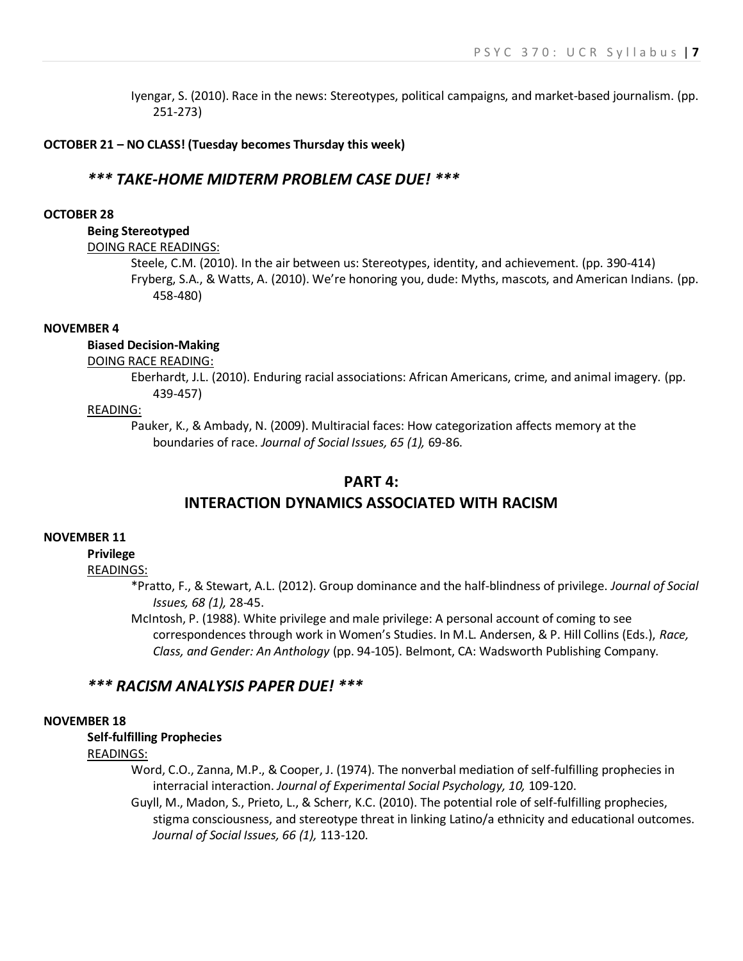Iyengar, S. (2010). Race in the news: Stereotypes, political campaigns, and market-based journalism. (pp. 251-273)

#### **OCTOBER 21 – NO CLASS! (Tuesday becomes Thursday this week)**

### *\*\*\* TAKE-HOME MIDTERM PROBLEM CASE DUE! \*\*\**

#### **OCTOBER 28**

#### **Being Stereotyped**

#### DOING RACE READINGS:

Steele, C.M. (2010). In the air between us: Stereotypes, identity, and achievement. (pp. 390-414) Fryberg, S.A., & Watts, A. (2010). We're honoring you, dude: Myths, mascots, and American Indians. (pp. 458-480)

#### **NOVEMBER 4**

#### **Biased Decision-Making**

#### DOING RACE READING:

Eberhardt, J.L. (2010). Enduring racial associations: African Americans, crime, and animal imagery. (pp. 439-457)

#### READING:

Pauker, K., & Ambady, N. (2009). Multiracial faces: How categorization affects memory at the boundaries of race. *Journal of Social Issues, 65 (1),* 69-86.

### **PART 4:**

### **INTERACTION DYNAMICS ASSOCIATED WITH RACISM**

#### **NOVEMBER 11**

#### **Privilege**

#### READINGS:

\*Pratto, F., & Stewart, A.L. (2012). Group dominance and the half-blindness of privilege. *Journal of Social Issues, 68 (1),* 28-45.

McIntosh, P. (1988). White privilege and male privilege: A personal account of coming to see correspondences through work in Women's Studies. In M.L. Andersen, & P. Hill Collins (Eds.), *Race, Class, and Gender: An Anthology* (pp. 94-105). Belmont, CA: Wadsworth Publishing Company.

#### *\*\*\* RACISM ANALYSIS PAPER DUE! \*\*\**

#### **NOVEMBER 18**

**Self-fulfilling Prophecies** READINGS:

> Word, C.O., Zanna, M.P., & Cooper, J. (1974). The nonverbal mediation of self-fulfilling prophecies in interracial interaction. *Journal of Experimental Social Psychology, 10,* 109-120.

Guyll, M., Madon, S., Prieto, L., & Scherr, K.C. (2010). The potential role of self-fulfilling prophecies, stigma consciousness, and stereotype threat in linking Latino/a ethnicity and educational outcomes. *Journal of Social Issues, 66 (1),* 113-120.